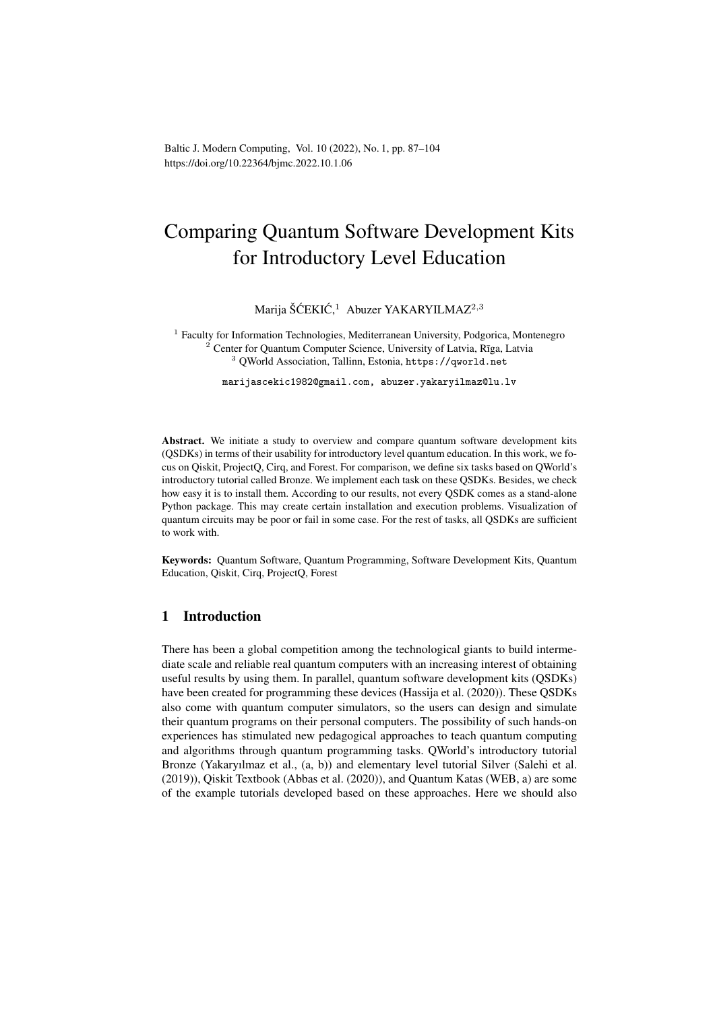Baltic J. Modern Computing, Vol. 10 (2022), No. 1, pp. 87–104 https://doi.org/10.22364/bjmc.2022.10.1.06

# Comparing Quantum Software Development Kits for Introductory Level Education

Marija ŠĆEKIĆ,<sup>1</sup> Abuzer YAKARYILMAZ<sup>2,3</sup>

<sup>1</sup> Faculty for Information Technologies, Mediterranean University, Podgorica, Montenegro  $2^{2}$  Center for Quantum Computer Science, University of Latvia, Rīga, Latvia <sup>3</sup> QWorld Association, Tallinn, Estonia, https://qworld.net

marijascekic1982@gmail.com, abuzer.yakaryilmaz@lu.lv

Abstract. We initiate a study to overview and compare quantum software development kits (QSDKs) in terms of their usability for introductory level quantum education. In this work, we focus on Qiskit, ProjectQ, Cirq, and Forest. For comparison, we define six tasks based on QWorld's introductory tutorial called Bronze. We implement each task on these QSDKs. Besides, we check how easy it is to install them. According to our results, not every QSDK comes as a stand-alone Python package. This may create certain installation and execution problems. Visualization of quantum circuits may be poor or fail in some case. For the rest of tasks, all QSDKs are sufficient to work with.

Keywords: Quantum Software, Quantum Programming, Software Development Kits, Quantum Education, Qiskit, Cirq, ProjectQ, Forest

## 1 Introduction

There has been a global competition among the technological giants to build intermediate scale and reliable real quantum computers with an increasing interest of obtaining useful results by using them. In parallel, quantum software development kits (QSDKs) have been created for programming these devices (Hassija et al. (2020)). These QSDKs also come with quantum computer simulators, so the users can design and simulate their quantum programs on their personal computers. The possibility of such hands-on experiences has stimulated new pedagogical approaches to teach quantum computing and algorithms through quantum programming tasks. QWorld's introductory tutorial Bronze (Yakaryılmaz et al., (a, b)) and elementary level tutorial Silver (Salehi et al. (2019)), Qiskit Textbook (Abbas et al. (2020)), and Quantum Katas (WEB, a) are some of the example tutorials developed based on these approaches. Here we should also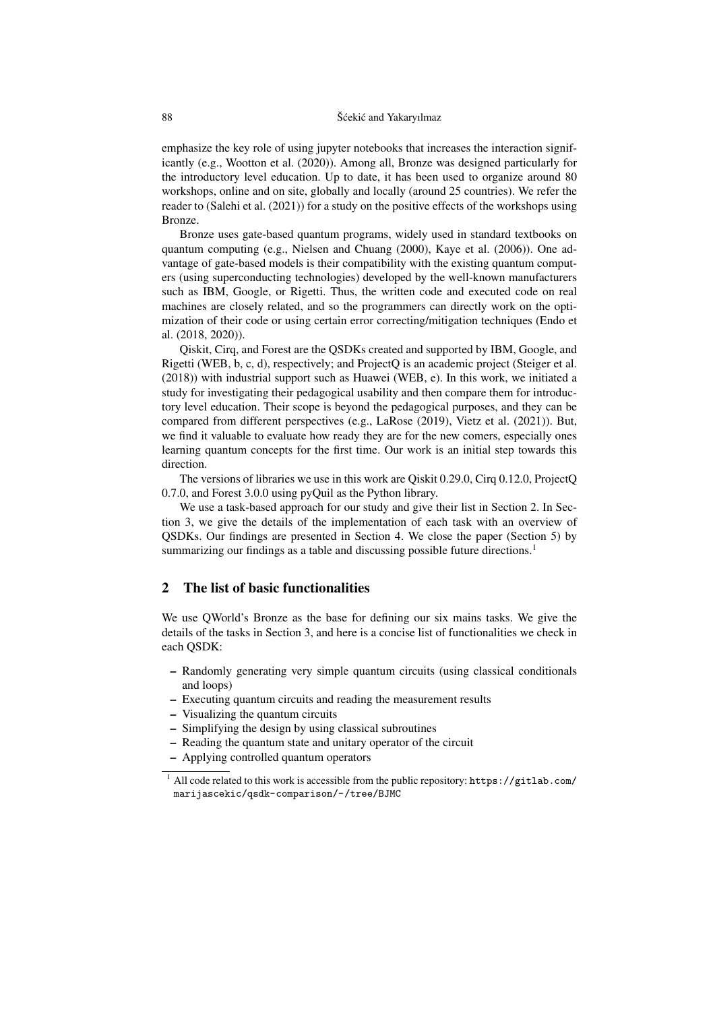emphasize the key role of using jupyter notebooks that increases the interaction significantly (e.g., Wootton et al. (2020)). Among all, Bronze was designed particularly for the introductory level education. Up to date, it has been used to organize around 80 workshops, online and on site, globally and locally (around 25 countries). We refer the reader to (Salehi et al. (2021)) for a study on the positive effects of the workshops using Bronze.

Bronze uses gate-based quantum programs, widely used in standard textbooks on quantum computing (e.g., Nielsen and Chuang (2000), Kaye et al. (2006)). One advantage of gate-based models is their compatibility with the existing quantum computers (using superconducting technologies) developed by the well-known manufacturers such as IBM, Google, or Rigetti. Thus, the written code and executed code on real machines are closely related, and so the programmers can directly work on the optimization of their code or using certain error correcting/mitigation techniques (Endo et al. (2018, 2020)).

Qiskit, Cirq, and Forest are the QSDKs created and supported by IBM, Google, and Rigetti (WEB, b, c, d), respectively; and ProjectQ is an academic project (Steiger et al. (2018)) with industrial support such as Huawei (WEB, e). In this work, we initiated a study for investigating their pedagogical usability and then compare them for introductory level education. Their scope is beyond the pedagogical purposes, and they can be compared from different perspectives (e.g., LaRose (2019), Vietz et al. (2021)). But, we find it valuable to evaluate how ready they are for the new comers, especially ones learning quantum concepts for the first time. Our work is an initial step towards this direction.

The versions of libraries we use in this work are Qiskit 0.29.0, Cirq 0.12.0, ProjectQ 0.7.0, and Forest 3.0.0 using pyQuil as the Python library.

We use a task-based approach for our study and give their list in Section 2. In Section 3, we give the details of the implementation of each task with an overview of QSDKs. Our findings are presented in Section 4. We close the paper (Section 5) by summarizing our findings as a table and discussing possible future directions.<sup>1</sup>

## 2 The list of basic functionalities

We use QWorld's Bronze as the base for defining our six mains tasks. We give the details of the tasks in Section 3, and here is a concise list of functionalities we check in each QSDK:

- Randomly generating very simple quantum circuits (using classical conditionals and loops)
- Executing quantum circuits and reading the measurement results
- Visualizing the quantum circuits
- Simplifying the design by using classical subroutines
- Reading the quantum state and unitary operator of the circuit
- Applying controlled quantum operators

<sup>&</sup>lt;sup>1</sup> All code related to this work is accessible from the public repository: https://gitlab.com/ marijascekic/qsdk-comparison/-/tree/BJMC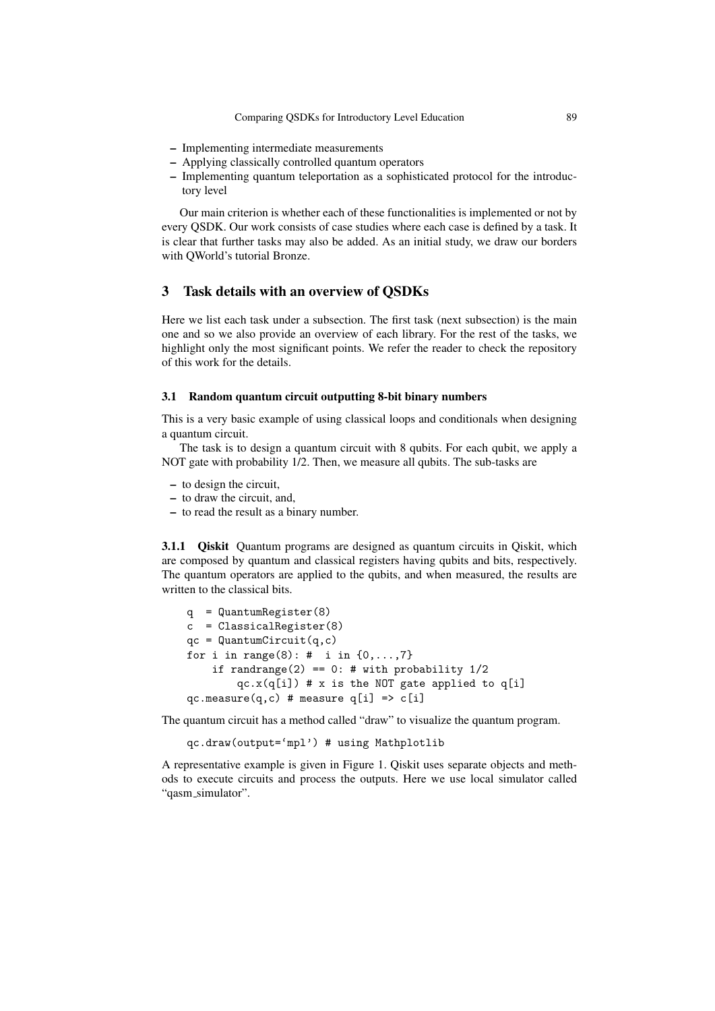- Implementing intermediate measurements
- Applying classically controlled quantum operators
- Implementing quantum teleportation as a sophisticated protocol for the introductory level

Our main criterion is whether each of these functionalities is implemented or not by every QSDK. Our work consists of case studies where each case is defined by a task. It is clear that further tasks may also be added. As an initial study, we draw our borders with QWorld's tutorial Bronze.

## 3 Task details with an overview of QSDKs

Here we list each task under a subsection. The first task (next subsection) is the main one and so we also provide an overview of each library. For the rest of the tasks, we highlight only the most significant points. We refer the reader to check the repository of this work for the details.

#### 3.1 Random quantum circuit outputting 8-bit binary numbers

This is a very basic example of using classical loops and conditionals when designing a quantum circuit.

The task is to design a quantum circuit with 8 qubits. For each qubit, we apply a NOT gate with probability 1/2. Then, we measure all qubits. The sub-tasks are

- to design the circuit,
- to draw the circuit, and,
- to read the result as a binary number.

3.1.1 Qiskit Quantum programs are designed as quantum circuits in Qiskit, which are composed by quantum and classical registers having qubits and bits, respectively. The quantum operators are applied to the qubits, and when measured, the results are written to the classical bits.

```
q = QuantumRegister(8)
c = ClassicalRegister(8)
qc = QuantumCircuit(q,c)
for i in range(8): # i in \{0, ..., 7\}if randrange(2) == 0: # with probability 1/2qc.x(q[i]) # x is the NOT gate applied to q[i]qc.measure(q,c) # measure q[i] => c[i]
```
The quantum circuit has a method called "draw" to visualize the quantum program.

qc.draw(output='mpl') # using Mathplotlib

A representative example is given in Figure 1. Qiskit uses separate objects and methods to execute circuits and process the outputs. Here we use local simulator called "qasm\_simulator".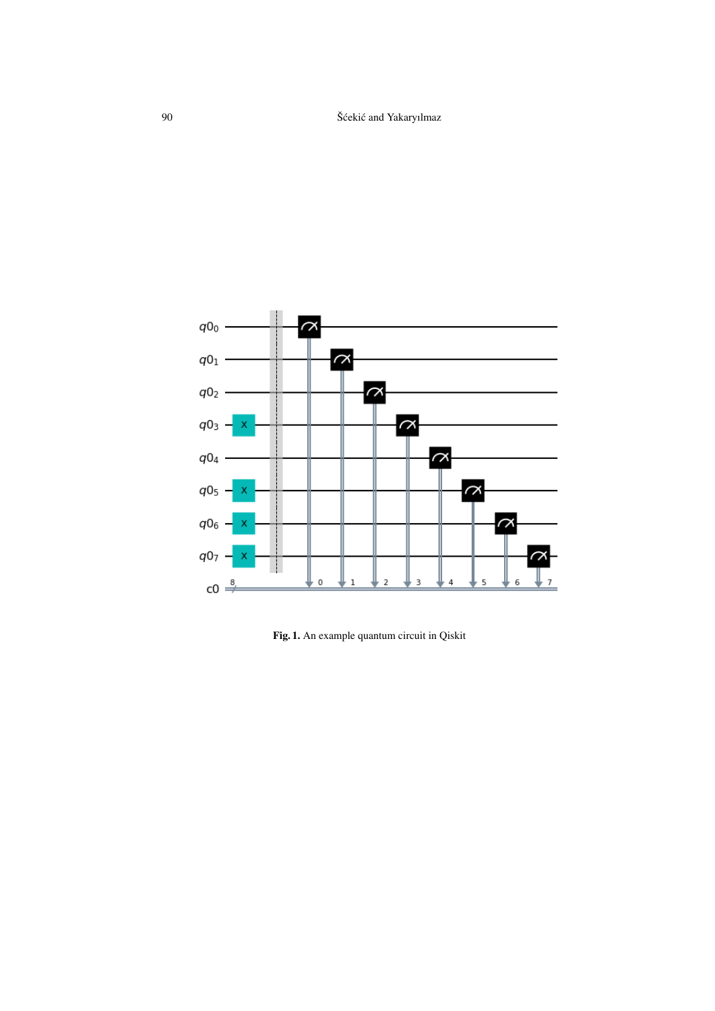

Fig. 1. An example quantum circuit in Qiskit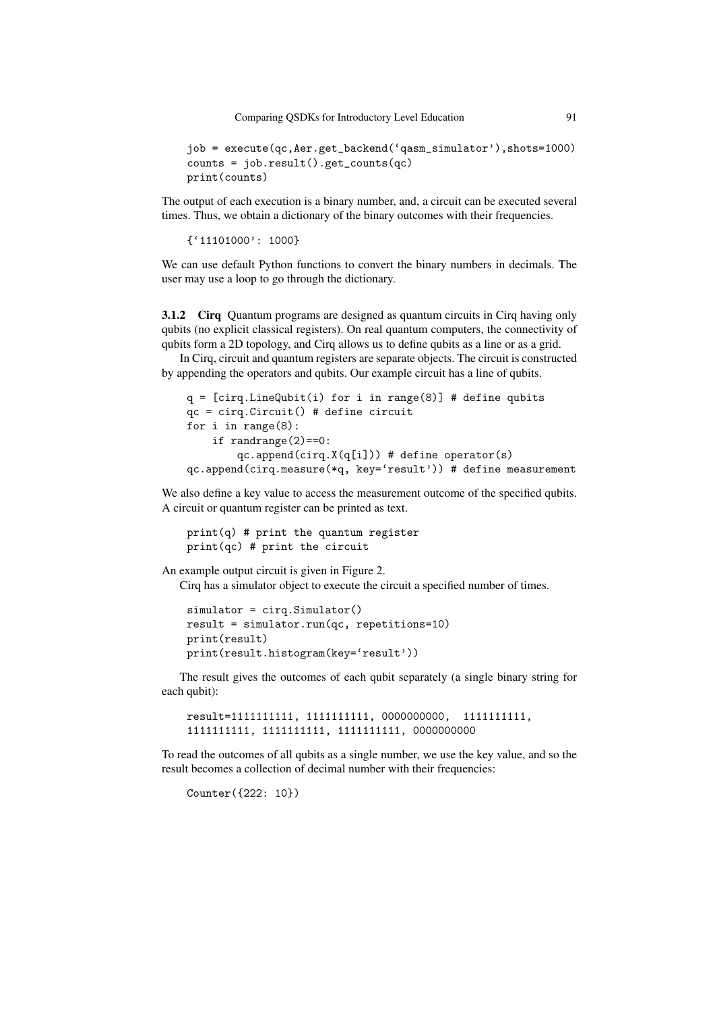Comparing QSDKs for Introductory Level Education 91

```
job = execute(qc,Aer.get_backend('qasm_simulator'),shots=1000)
counts = job.result().get_counts(qc)
print(counts)
```
The output of each execution is a binary number, and, a circuit can be executed several times. Thus, we obtain a dictionary of the binary outcomes with their frequencies.

{'11101000': 1000}

We can use default Python functions to convert the binary numbers in decimals. The user may use a loop to go through the dictionary.

3.1.2 Cirq Quantum programs are designed as quantum circuits in Cirq having only qubits (no explicit classical registers). On real quantum computers, the connectivity of qubits form a 2D topology, and Cirq allows us to define qubits as a line or as a grid.

In Cirq, circuit and quantum registers are separate objects. The circuit is constructed by appending the operators and qubits. Our example circuit has a line of qubits.

```
q = [cing.LineQubit(i) for i in range(8)] # define qubitsqc = cirq.Circuit() # define circuit
for i in range(8):
    if randrange(2)==0:
        qc.append(cira.X(q[i])) # define operator(s)
qc.append(cirq.measure(*q, key='result')) # define measurement
```
We also define a key value to access the measurement outcome of the specified qubits. A circuit or quantum register can be printed as text.

```
print(q) # print the quantum register
print(ac) # print the circuit
```
An example output circuit is given in Figure 2.

Cirq has a simulator object to execute the circuit a specified number of times.

```
simulator = cirq.Simulator()
result = simulator.run(qc, repetitions=10)
print(result)
print(result.histogram(key='result'))
```
The result gives the outcomes of each qubit separately (a single binary string for each qubit):

```
result=1111111111, 1111111111, 0000000000, 1111111111,
1111111111, 1111111111, 1111111111, 0000000000
```
To read the outcomes of all qubits as a single number, we use the key value, and so the result becomes a collection of decimal number with their frequencies:

Counter({222: 10})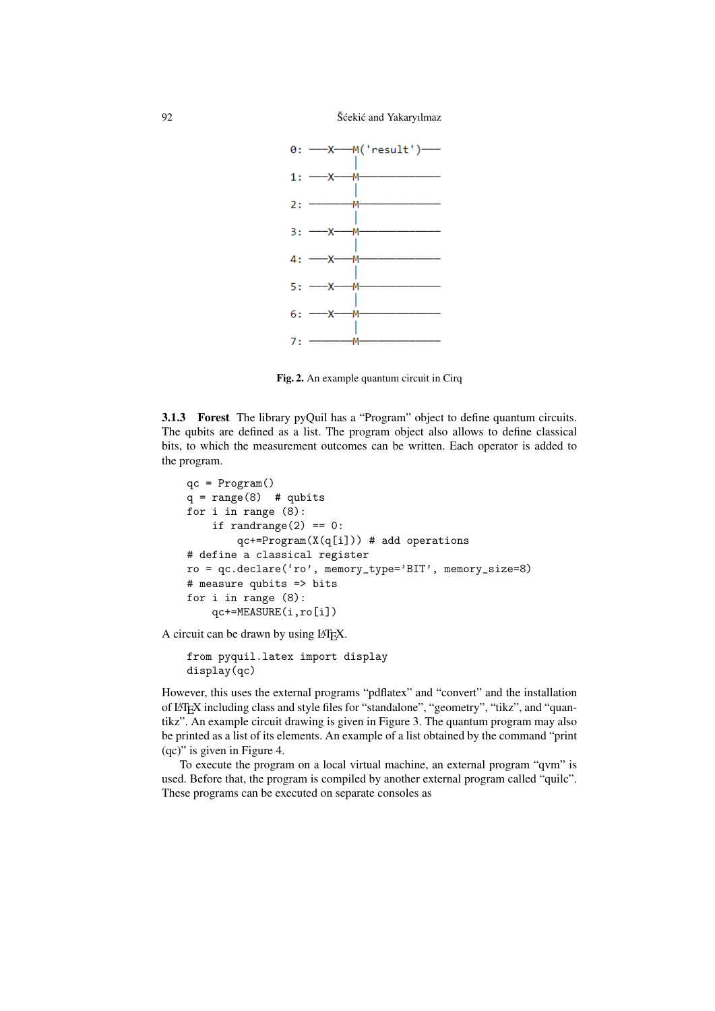

Fig. 2. An example quantum circuit in Cirq

3.1.3 Forest The library pyQuil has a "Program" object to define quantum circuits. The qubits are defined as a list. The program object also allows to define classical bits, to which the measurement outcomes can be written. Each operator is added to the program.

```
qc = Program()
q = range(8) # qubits
for i in range (8):
    if randrange(2) == 0:
        qc += Program(X(q[i])) # add operations
# define a classical register
ro = qc.declare('ro', memory_type='BIT', memory_size=8)
# measure qubits => bits
for i in range (8):
    qc+=MEASURE(i,ro[i])
```
A circuit can be drawn by using LATEX.

```
from pyquil.latex import display
display(qc)
```
However, this uses the external programs "pdflatex" and "convert" and the installation of LATEX including class and style files for "standalone", "geometry", "tikz", and "quantikz". An example circuit drawing is given in Figure 3. The quantum program may also be printed as a list of its elements. An example of a list obtained by the command "print (qc)" is given in Figure 4.

To execute the program on a local virtual machine, an external program "qvm" is used. Before that, the program is compiled by another external program called "quilc". These programs can be executed on separate consoles as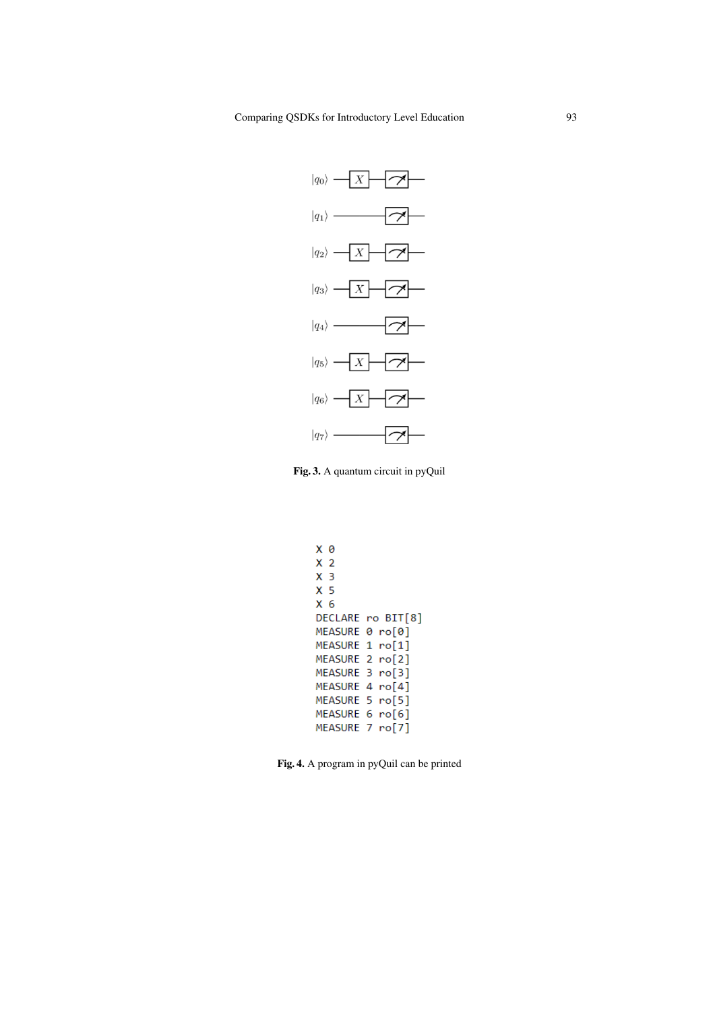

Fig. 3. A quantum circuit in pyQuil

```
X 0
X 2 3 5 6DECLARE ro BIT[8]
MEASURE 0 ro[0]
MEASURE 1 ro[1]
MEASURE 2 ro[2]
MEASURE 3 ro[3]
MEASURE 4 ro[4]
MEASURE 5 ro[5]
MEASURE 6 ro[6]
MEASURE 7 ro[7]
```
Fig. 4. A program in pyQuil can be printed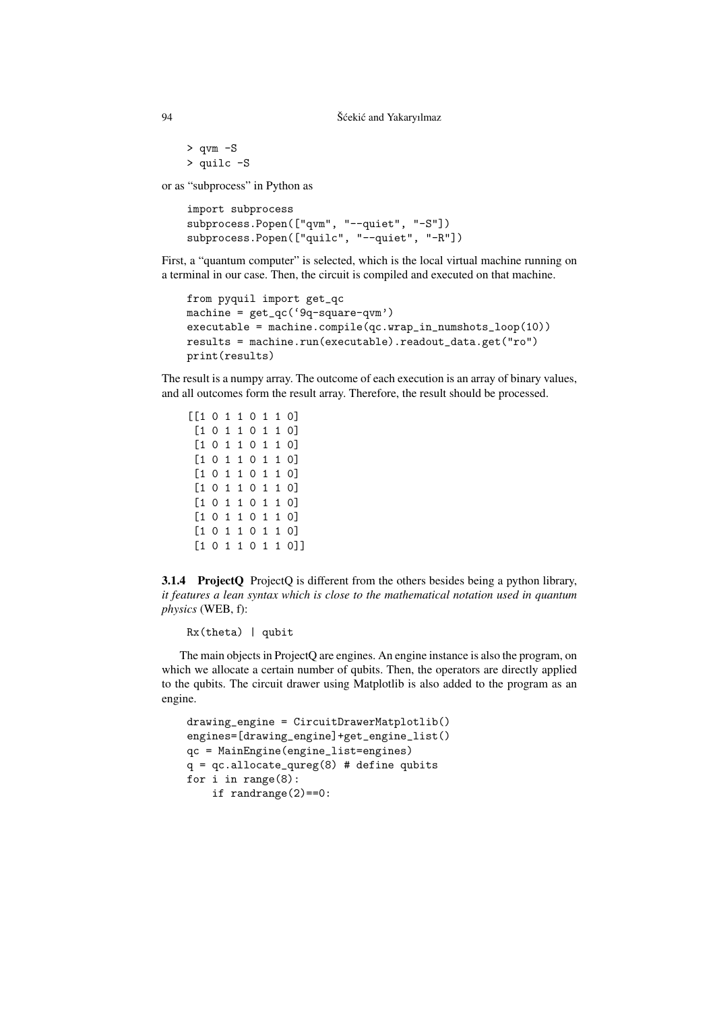> qvm -S > quilc -S

or as "subprocess" in Python as

```
import subprocess
subprocess.Popen(["qvm", "--quiet", "-S"])
subprocess.Popen(["quilc", "--quiet", "-R"])
```
First, a "quantum computer" is selected, which is the local virtual machine running on a terminal in our case. Then, the circuit is compiled and executed on that machine.

```
from pyquil import get_qc
machine = get_qc('9q-square-qvm')executable = machine.compile(qc.wrap_in_numshots_loop(10))
results = machine.run(executable).readout_data.get("ro")
print(results)
```
The result is a numpy array. The outcome of each execution is an array of binary values, and all outcomes form the result array. Therefore, the result should be processed.

3.1.4 ProjectQ ProjectQ is different from the others besides being a python library, *it features a lean syntax which is close to the mathematical notation used in quantum physics* (WEB, f):

Rx(theta) | qubit

The main objects in ProjectQ are engines. An engine instance is also the program, on which we allocate a certain number of qubits. Then, the operators are directly applied to the qubits. The circuit drawer using Matplotlib is also added to the program as an engine.

```
drawing_engine = CircuitDrawerMatplotlib()
engines=[drawing_engine]+get_engine_list()
qc = MainEngine(engine_list=engines)
q = qc.allocate_qureg(8) # define qubitsfor i in range(8):
    if randrange(2)==0:
```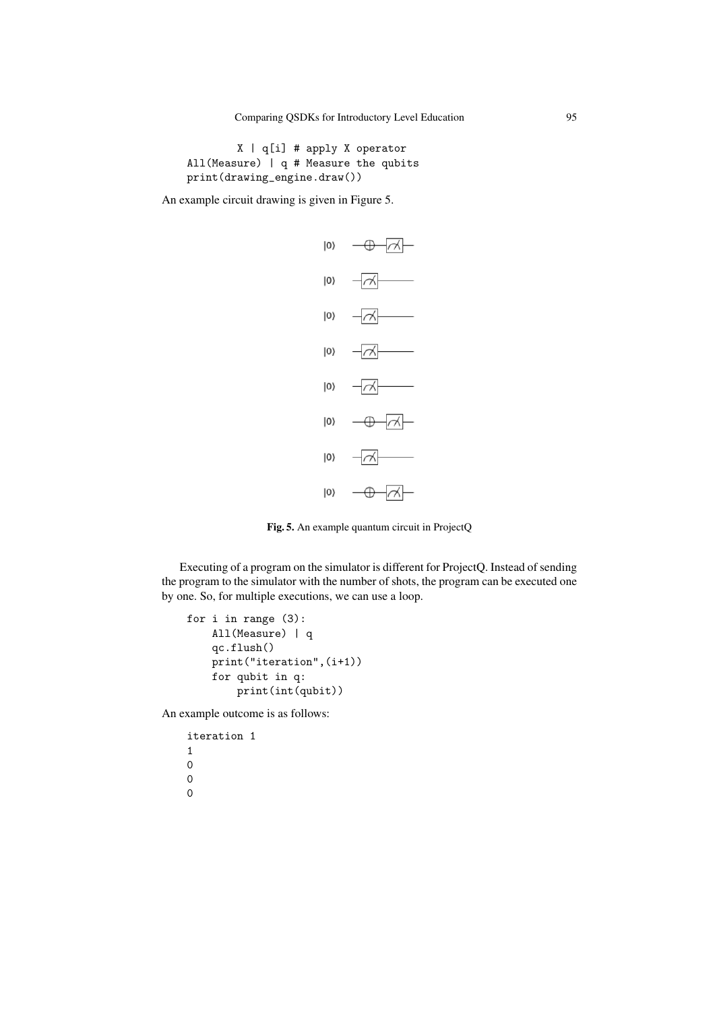```
X | q[i] # apply X operator
All(Measure) | q # Measure the qubits
print(drawing_engine.draw())
```
An example circuit drawing is given in Figure 5.



Fig. 5. An example quantum circuit in ProjectQ

Executing of a program on the simulator is different for ProjectQ. Instead of sending the program to the simulator with the number of shots, the program can be executed one by one. So, for multiple executions, we can use a loop.

```
for i in range (3):
   All(Measure) | q
    qc.flush()
   print("iteration",(i+1))
    for qubit in q:
        print(int(qubit))
```
An example outcome is as follows:

```
iteration 1
1
0
0
0
```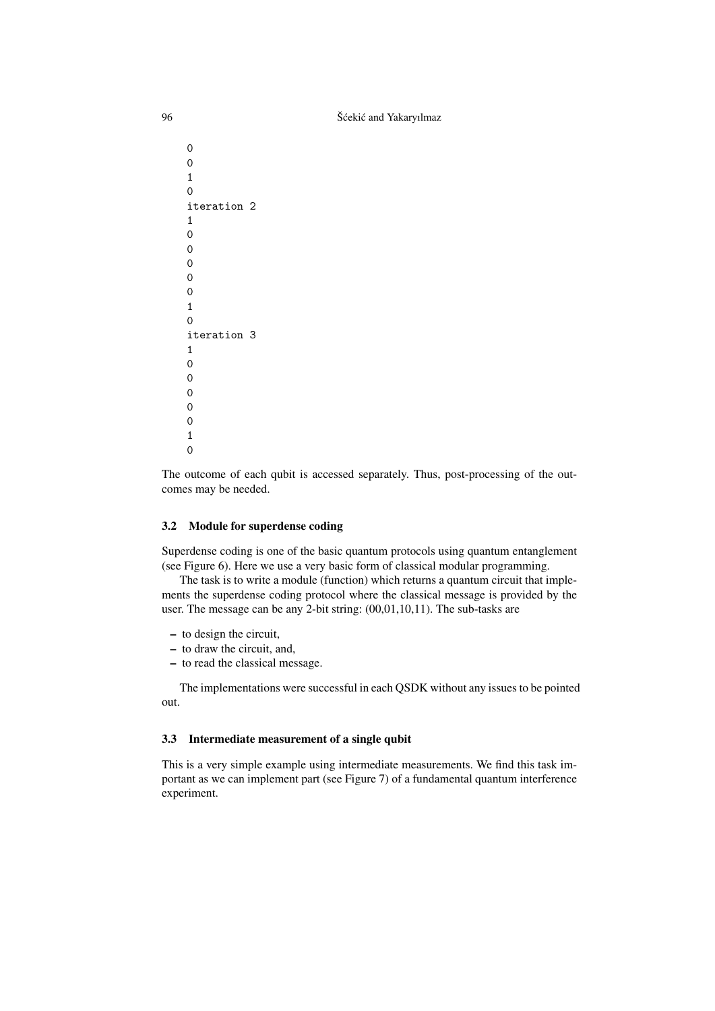```
0
0
1
0
iteration 2
1
0
0
0
0
0
1
0
iteration 3
1
\Omega\Omega\Omega0
0
1
\overline{0}
```
The outcome of each qubit is accessed separately. Thus, post-processing of the outcomes may be needed.

## 3.2 Module for superdense coding

Superdense coding is one of the basic quantum protocols using quantum entanglement (see Figure 6). Here we use a very basic form of classical modular programming.

The task is to write a module (function) which returns a quantum circuit that implements the superdense coding protocol where the classical message is provided by the user. The message can be any 2-bit string: (00,01,10,11). The sub-tasks are

- to design the circuit,
- to draw the circuit, and,
- to read the classical message.

The implementations were successful in each QSDK without any issues to be pointed out.

#### 3.3 Intermediate measurement of a single qubit

This is a very simple example using intermediate measurements. We find this task important as we can implement part (see Figure 7) of a fundamental quantum interference experiment.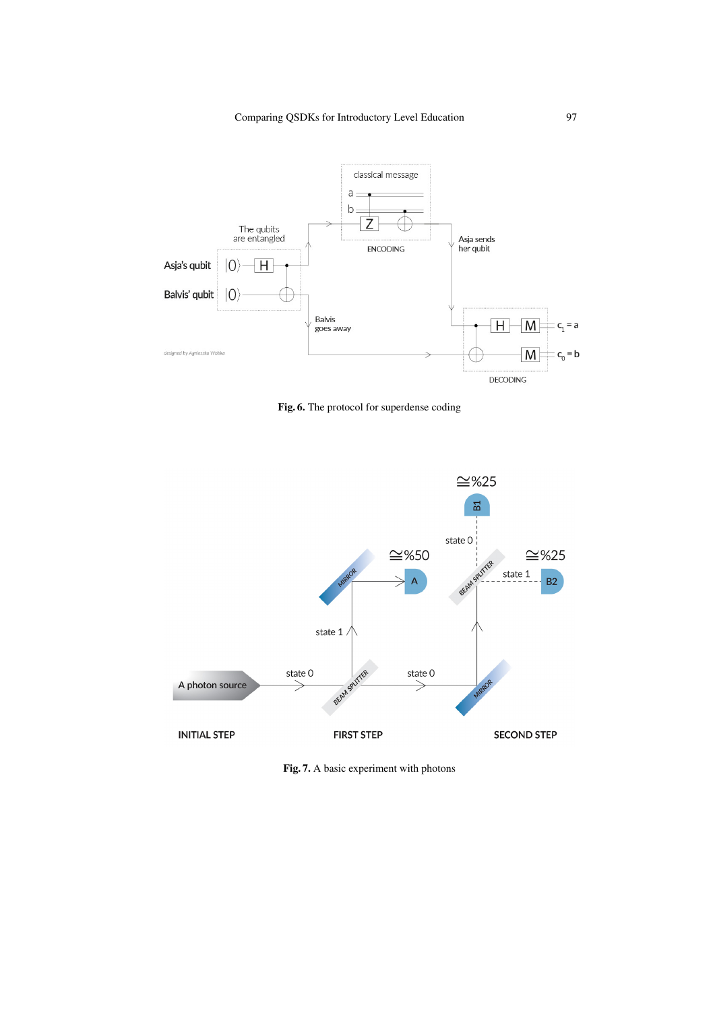

Fig. 6. The protocol for superdense coding



Fig. 7. A basic experiment with photons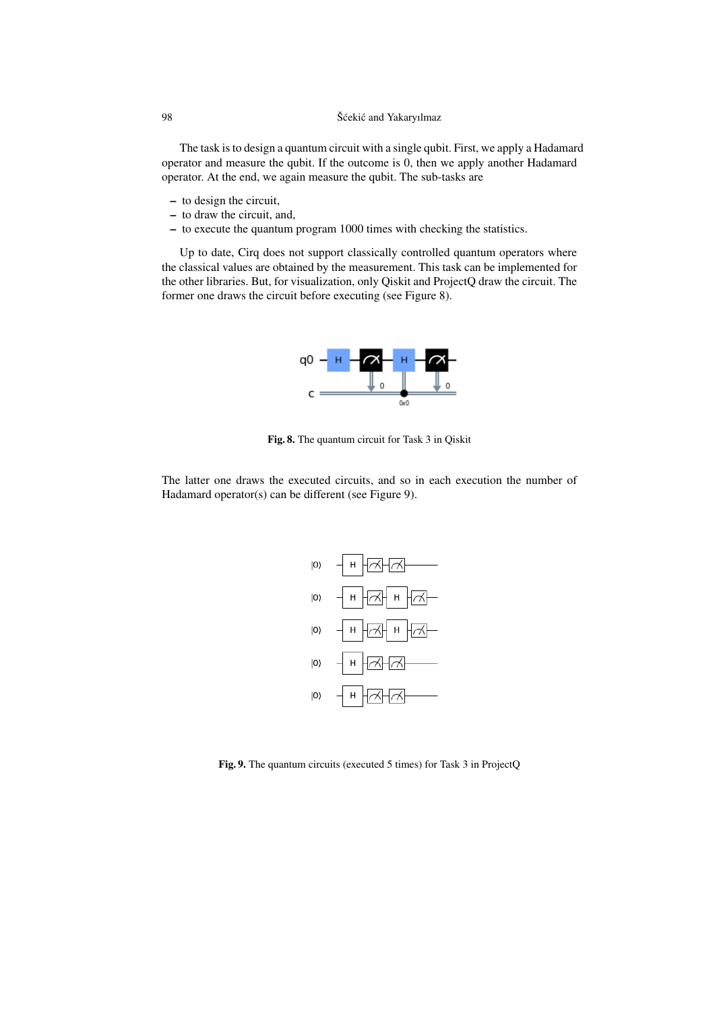The task is to design a quantum circuit with a single qubit. First, we apply a Hadamard operator and measure the qubit. If the outcome is 0, then we apply another Hadamard operator. At the end, we again measure the qubit. The sub-tasks are

- to design the circuit,
- to draw the circuit, and,
- to execute the quantum program 1000 times with checking the statistics.

Up to date, Cirq does not support classically controlled quantum operators where the classical values are obtained by the measurement. This task can be implemented for the other libraries. But, for visualization, only Qiskit and ProjectQ draw the circuit. The former one draws the circuit before executing (see Figure 8).



Fig. 8. The quantum circuit for Task 3 in Qiskit

The latter one draws the executed circuits, and so in each execution the number of Hadamard operator(s) can be different (see Figure 9).



Fig. 9. The quantum circuits (executed 5 times) for Task 3 in ProjectQ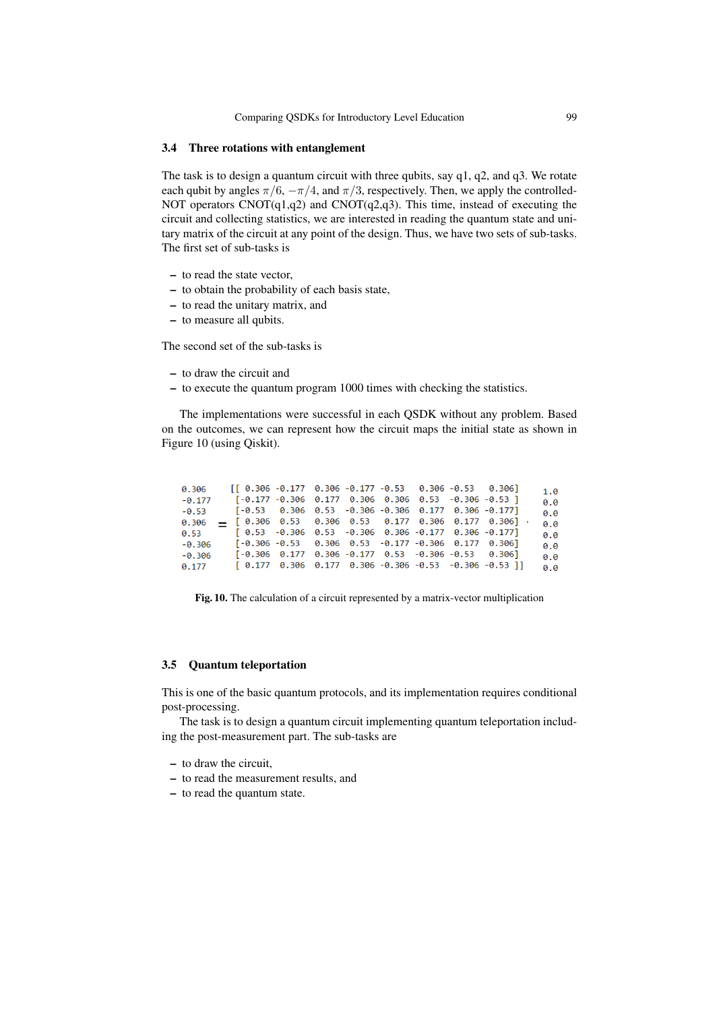#### 3.4 Three rotations with entanglement

The task is to design a quantum circuit with three qubits, say q1, q2, and q3. We rotate each qubit by angles  $\pi/6$ ,  $-\pi/4$ , and  $\pi/3$ , respectively. Then, we apply the controlled-NOT operators CNOT(q1,q2) and CNOT(q2,q3). This time, instead of executing the circuit and collecting statistics, we are interested in reading the quantum state and unitary matrix of the circuit at any point of the design. Thus, we have two sets of sub-tasks. The first set of sub-tasks is

- to read the state vector,
- to obtain the probability of each basis state,
- to read the unitary matrix, and
- to measure all qubits.

The second set of the sub-tasks is

- to draw the circuit and
- to execute the quantum program 1000 times with checking the statistics.

The implementations were successful in each QSDK without any problem. Based on the outcomes, we can represent how the circuit maps the initial state as shown in Figure 10 (using Qiskit).

| 0.306    | $\begin{bmatrix} 0.306 & -0.177 & 0.306 & -0.177 & -0.53 & 0.306 & -0.53 & 0.306 \end{bmatrix}$ |  |  |  |                                                                            | 1.0 |
|----------|-------------------------------------------------------------------------------------------------|--|--|--|----------------------------------------------------------------------------|-----|
| $-0.177$ | [-0.177 -0.306 0.177 0.306 0.306 0.53 -0.306 -0.53 ]                                            |  |  |  |                                                                            | 0.0 |
|          | $-0.53$ $[-0.53$ 0.306 0.53 -0.306 -0.306 0.177 0.306 -0.177]                                   |  |  |  |                                                                            | 0.0 |
| 0.306    |                                                                                                 |  |  |  | $=$ [0.306 0.53 0.306 0.53 0.177 0.306 0.177 0.306]                        | 0.0 |
|          | $0.53$ [ $0.53$ -0.306 0.53 -0.306 0.306 -0.177 0.306 -0.177]                                   |  |  |  |                                                                            | 0.0 |
| $-0.306$ | $[-0.306 -0.53 \t 0.306 \t 0.53 \t -0.177 \t -0.306 \t 0.177 \t 0.306]$                         |  |  |  |                                                                            | 0.0 |
| $-0.306$ | $[-0.306 \t 0.177 \t 0.306 \t -0.177 \t 0.53 \t -0.306 \t -0.53 \t 0.306]$                      |  |  |  |                                                                            | 0.0 |
| 0.177    |                                                                                                 |  |  |  | $[0.177 \t 0.306 \t 0.177 \t 0.306 \t -0.306 \t -0.53 \t -0.306 \t -0.53]$ | 0.0 |

Fig. 10. The calculation of a circuit represented by a matrix-vector multiplication

#### 3.5 Quantum teleportation

This is one of the basic quantum protocols, and its implementation requires conditional post-processing.

The task is to design a quantum circuit implementing quantum teleportation including the post-measurement part. The sub-tasks are

- to draw the circuit,
- to read the measurement results, and
- to read the quantum state.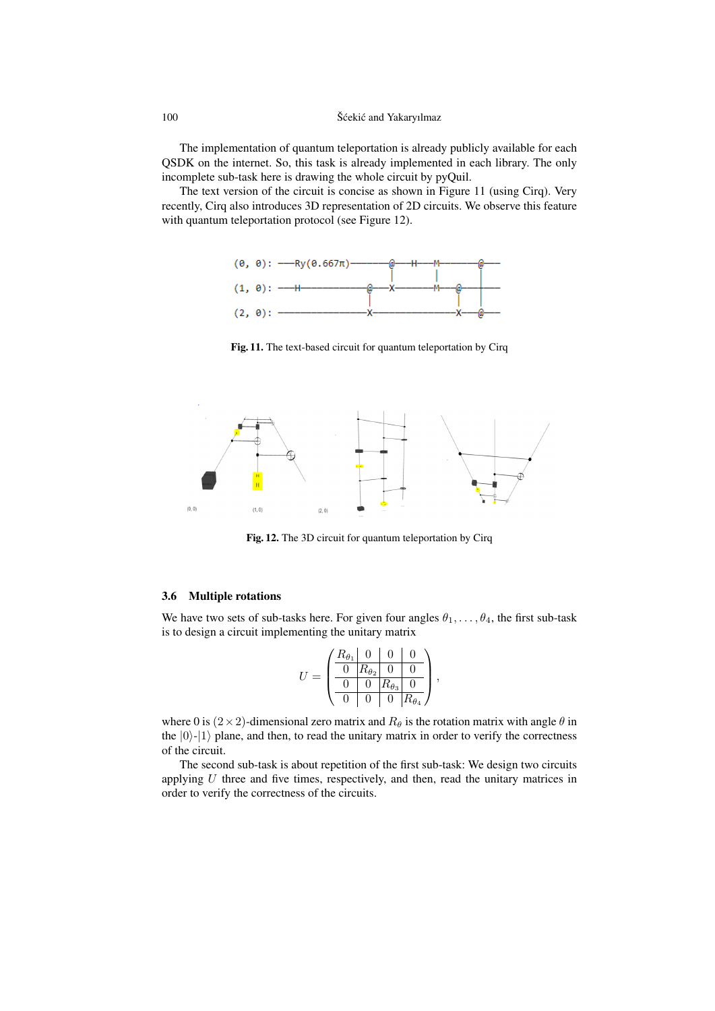The implementation of quantum teleportation is already publicly available for each QSDK on the internet. So, this task is already implemented in each library. The only incomplete sub-task here is drawing the whole circuit by pyQuil.

The text version of the circuit is concise as shown in Figure 11 (using Cirq). Very recently, Cirq also introduces 3D representation of 2D circuits. We observe this feature with quantum teleportation protocol (see Figure 12).



Fig. 11. The text-based circuit for quantum teleportation by Cirq



Fig. 12. The 3D circuit for quantum teleportation by Cirq

## 3.6 Multiple rotations

We have two sets of sub-tasks here. For given four angles  $\theta_1, \ldots, \theta_4$ , the first sub-task is to design a circuit implementing the unitary matrix

$$
U = \begin{pmatrix} R_{\theta_1} & 0 & 0 & 0 \\ 0 & R_{\theta_2} & 0 & 0 \\ \hline 0 & 0 & R_{\theta_3} & 0 \\ \hline 0 & 0 & 0 & R_{\theta_4} \end{pmatrix},
$$

where 0 is  $(2 \times 2)$ -dimensional zero matrix and  $R_{\theta}$  is the rotation matrix with angle  $\theta$  in the  $|0\rangle$ - $|1\rangle$  plane, and then, to read the unitary matrix in order to verify the correctness of the circuit.

The second sub-task is about repetition of the first sub-task: We design two circuits applying  $U$  three and five times, respectively, and then, read the unitary matrices in order to verify the correctness of the circuits.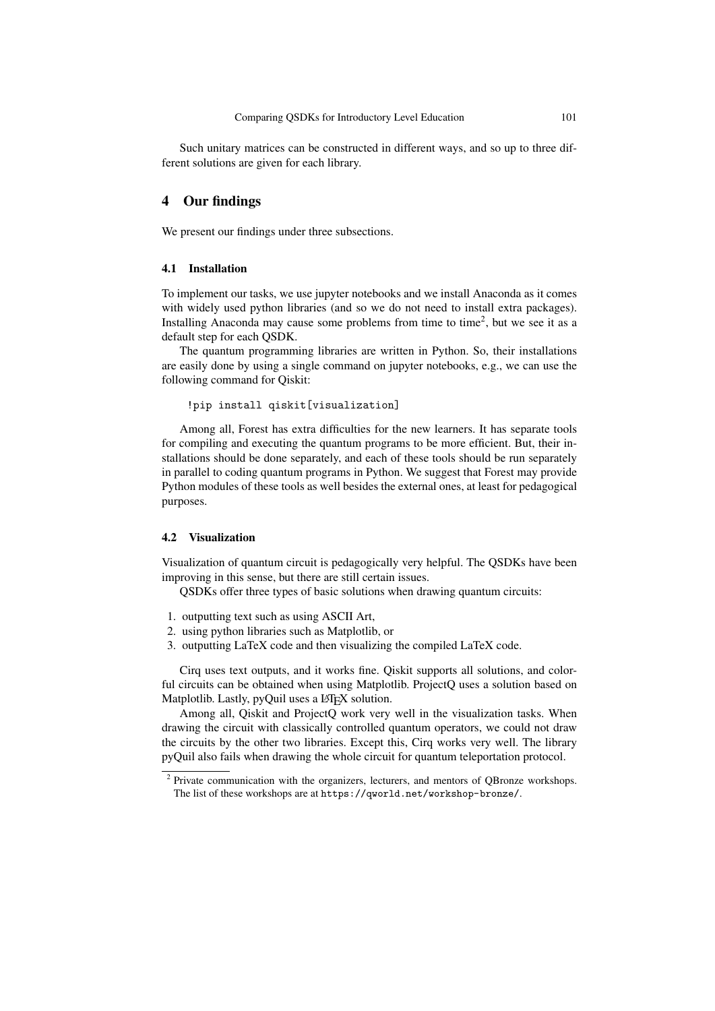Such unitary matrices can be constructed in different ways, and so up to three different solutions are given for each library.

## 4 Our findings

We present our findings under three subsections.

#### 4.1 Installation

To implement our tasks, we use jupyter notebooks and we install Anaconda as it comes with widely used python libraries (and so we do not need to install extra packages). Installing Anaconda may cause some problems from time to time<sup>2</sup>, but we see it as a default step for each QSDK.

The quantum programming libraries are written in Python. So, their installations are easily done by using a single command on jupyter notebooks, e.g., we can use the following command for Qiskit:

```
!pip install qiskit[visualization]
```
Among all, Forest has extra difficulties for the new learners. It has separate tools for compiling and executing the quantum programs to be more efficient. But, their installations should be done separately, and each of these tools should be run separately in parallel to coding quantum programs in Python. We suggest that Forest may provide Python modules of these tools as well besides the external ones, at least for pedagogical purposes.

#### 4.2 Visualization

Visualization of quantum circuit is pedagogically very helpful. The QSDKs have been improving in this sense, but there are still certain issues.

QSDKs offer three types of basic solutions when drawing quantum circuits:

- 1. outputting text such as using ASCII Art,
- 2. using python libraries such as Matplotlib, or
- 3. outputting LaTeX code and then visualizing the compiled LaTeX code.

Cirq uses text outputs, and it works fine. Qiskit supports all solutions, and colorful circuits can be obtained when using Matplotlib. ProjectQ uses a solution based on Matplotlib. Lastly, pyQuil uses a LATEX solution.

Among all, Qiskit and ProjectQ work very well in the visualization tasks. When drawing the circuit with classically controlled quantum operators, we could not draw the circuits by the other two libraries. Except this, Cirq works very well. The library pyQuil also fails when drawing the whole circuit for quantum teleportation protocol.

<sup>&</sup>lt;sup>2</sup> Private communication with the organizers, lecturers, and mentors of QBronze workshops. The list of these workshops are at https://qworld.net/workshop-bronze/.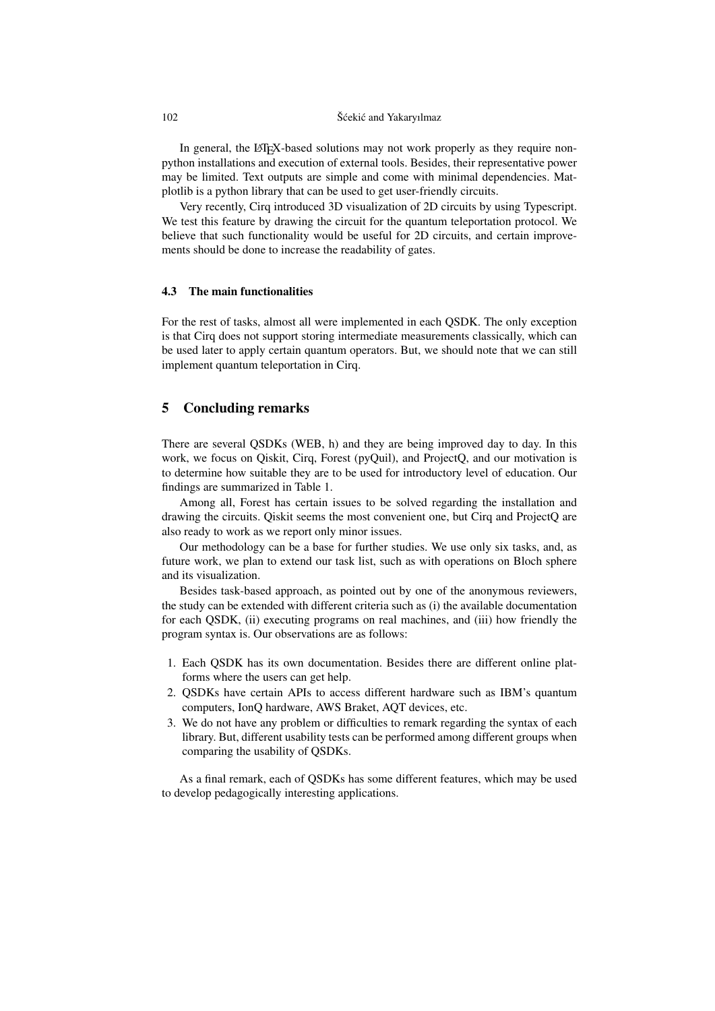In general, the LATEX-based solutions may not work properly as they require nonpython installations and execution of external tools. Besides, their representative power may be limited. Text outputs are simple and come with minimal dependencies. Matplotlib is a python library that can be used to get user-friendly circuits.

Very recently, Cirq introduced 3D visualization of 2D circuits by using Typescript. We test this feature by drawing the circuit for the quantum teleportation protocol. We believe that such functionality would be useful for 2D circuits, and certain improvements should be done to increase the readability of gates.

## 4.3 The main functionalities

For the rest of tasks, almost all were implemented in each QSDK. The only exception is that Cirq does not support storing intermediate measurements classically, which can be used later to apply certain quantum operators. But, we should note that we can still implement quantum teleportation in Cirq.

## 5 Concluding remarks

There are several QSDKs (WEB, h) and they are being improved day to day. In this work, we focus on Oiskit, Cirq, Forest (pyOuil), and ProjectO, and our motivation is to determine how suitable they are to be used for introductory level of education. Our findings are summarized in Table 1.

Among all, Forest has certain issues to be solved regarding the installation and drawing the circuits. Qiskit seems the most convenient one, but Cirq and ProjectQ are also ready to work as we report only minor issues.

Our methodology can be a base for further studies. We use only six tasks, and, as future work, we plan to extend our task list, such as with operations on Bloch sphere and its visualization.

Besides task-based approach, as pointed out by one of the anonymous reviewers, the study can be extended with different criteria such as (i) the available documentation for each QSDK, (ii) executing programs on real machines, and (iii) how friendly the program syntax is. Our observations are as follows:

- 1. Each QSDK has its own documentation. Besides there are different online platforms where the users can get help.
- 2. QSDKs have certain APIs to access different hardware such as IBM's quantum computers, IonQ hardware, AWS Braket, AQT devices, etc.
- 3. We do not have any problem or difficulties to remark regarding the syntax of each library. But, different usability tests can be performed among different groups when comparing the usability of QSDKs.

As a final remark, each of QSDKs has some different features, which may be used to develop pedagogically interesting applications.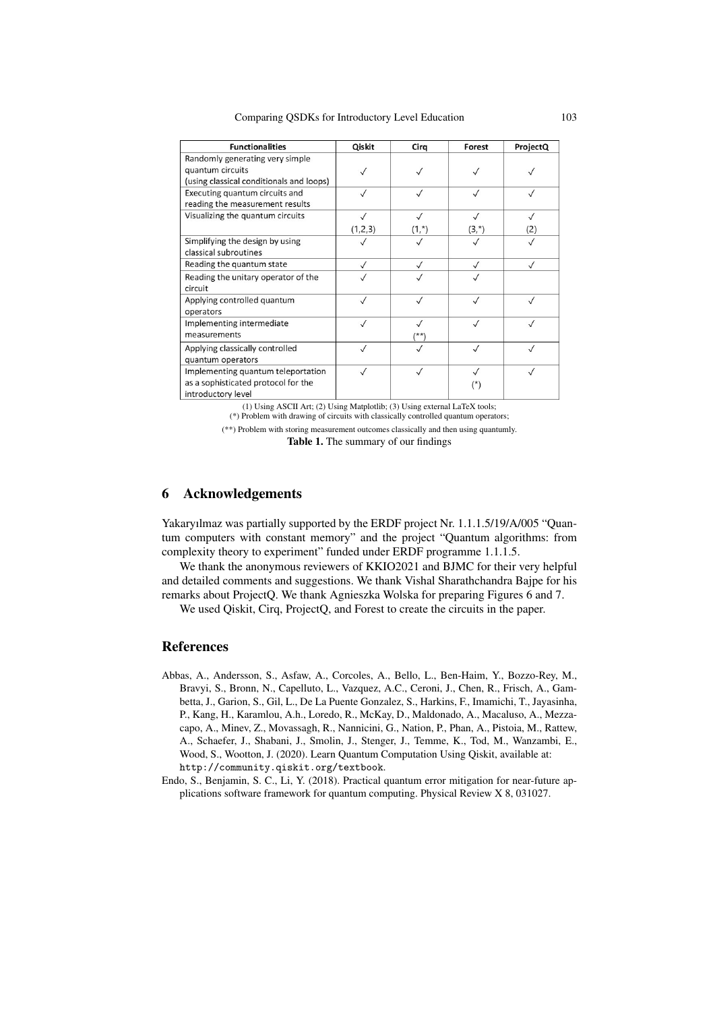Comparing QSDKs for Introductory Level Education 103

| <b>Functionalities</b>                   | Qiskit       | Cirg      | Forest       | ProjectQ  |
|------------------------------------------|--------------|-----------|--------------|-----------|
| Randomly generating very simple          |              |           |              |           |
| quantum circuits                         |              |           |              |           |
| (using classical conditionals and loops) |              |           |              |           |
| Executing quantum circuits and           |              |           | $\checkmark$ |           |
| reading the measurement results          |              |           |              |           |
| Visualizing the quantum circuits         | $\sqrt{}$    |           | $\sqrt{}$    |           |
|                                          | (1,2,3)      | $(1,*)$   | $(3,*)$      | (2)       |
| Simplifying the design by using          |              |           |              |           |
| classical subroutines                    |              |           |              |           |
| Reading the quantum state                | $\checkmark$ | $\sqrt{}$ | $\checkmark$ | $\sqrt{}$ |
| Reading the unitary operator of the      |              |           |              |           |
| circuit                                  |              |           |              |           |
| Applying controlled quantum              | $\sqrt{}$    | $\sqrt{}$ | $\checkmark$ |           |
| operators                                |              |           |              |           |
| Implementing intermediate                | $\sqrt{}$    |           |              |           |
| measurements                             |              | $(***)$   |              |           |
| Applying classically controlled          | $\sqrt{}$    |           | $\checkmark$ |           |
| quantum operators                        |              |           |              |           |
| Implementing quantum teleportation       |              | $\sqrt{}$ | $\sqrt{}$    |           |
| as a sophisticated protocol for the      |              |           | (*)          |           |
| introductory level                       |              |           |              |           |

(1) Using ASCII Art; (2) Using Matplotlib; (3) Using external LaTeX tools; (\*) Problem with drawing of circuits with classically controlled quantum operators;

(\*\*) Problem with storing measurement outcomes classically and then using quantumly.

Table 1. The summary of our findings

# 6 Acknowledgements

Yakaryılmaz was partially supported by the ERDF project Nr. 1.1.1.5/19/A/005 "Quantum computers with constant memory" and the project "Quantum algorithms: from complexity theory to experiment" funded under ERDF programme 1.1.1.5.

We thank the anonymous reviewers of KKIO2021 and BJMC for their very helpful and detailed comments and suggestions. We thank Vishal Sharathchandra Bajpe for his remarks about ProjectQ. We thank Agnieszka Wolska for preparing Figures 6 and 7.

We used Qiskit, Cirq, ProjectQ, and Forest to create the circuits in the paper.

## References

- Abbas, A., Andersson, S., Asfaw, A., Corcoles, A., Bello, L., Ben-Haim, Y., Bozzo-Rey, M., Bravyi, S., Bronn, N., Capelluto, L., Vazquez, A.C., Ceroni, J., Chen, R., Frisch, A., Gambetta, J., Garion, S., Gil, L., De La Puente Gonzalez, S., Harkins, F., Imamichi, T., Jayasinha, P., Kang, H., Karamlou, A.h., Loredo, R., McKay, D., Maldonado, A., Macaluso, A., Mezzacapo, A., Minev, Z., Movassagh, R., Nannicini, G., Nation, P., Phan, A., Pistoia, M., Rattew, A., Schaefer, J., Shabani, J., Smolin, J., Stenger, J., Temme, K., Tod, M., Wanzambi, E., Wood, S., Wootton, J. (2020). Learn Quantum Computation Using Qiskit, available at: http://community.qiskit.org/textbook.
- Endo, S., Benjamin, S. C., Li, Y. (2018). Practical quantum error mitigation for near-future applications software framework for quantum computing. Physical Review X 8, 031027.